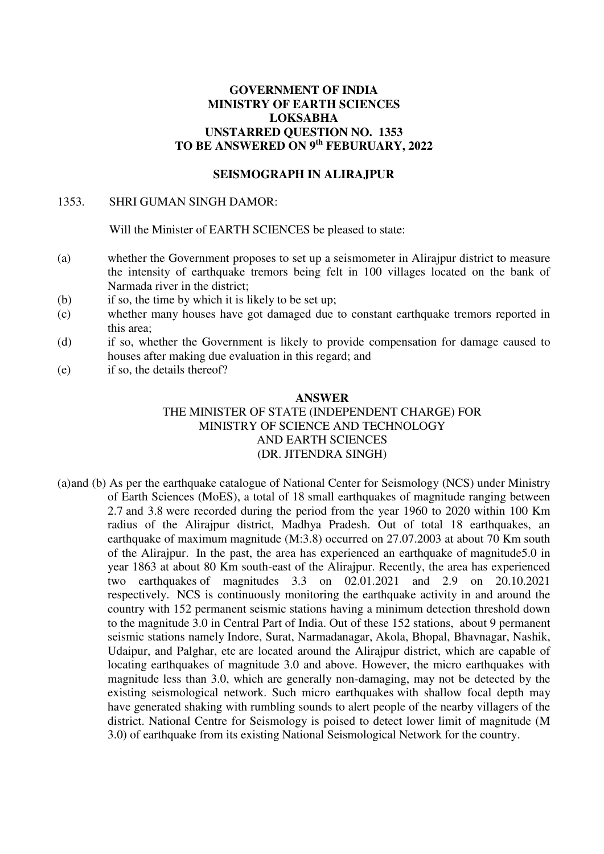# **GOVERNMENT OF INDIA MINISTRY OF EARTH SCIENCES LOKSABHA UNSTARRED QUESTION NO. 1353 TO BE ANSWERED ON 9th FEBURUARY, 2022**

### **SEISMOGRAPH IN ALIRAJPUR**

#### 1353. SHRI GUMAN SINGH DAMOR:

Will the Minister of EARTH SCIENCES be pleased to state:

- (a) whether the Government proposes to set up a seismometer in Alirajpur district to measure the intensity of earthquake tremors being felt in 100 villages located on the bank of Narmada river in the district;
- (b) if so, the time by which it is likely to be set up;
- (c) whether many houses have got damaged due to constant earthquake tremors reported in this area;
- (d) if so, whether the Government is likely to provide compensation for damage caused to houses after making due evaluation in this regard; and
- (e) if so, the details thereof?

#### **ANSWER**

## THE MINISTER OF STATE (INDEPENDENT CHARGE) FOR MINISTRY OF SCIENCE AND TECHNOLOGY AND EARTH SCIENCES (DR. JITENDRA SINGH)

(a)and (b) As per the earthquake catalogue of National Center for Seismology (NCS) under Ministry of Earth Sciences (MoES), a total of 18 small earthquakes of magnitude ranging between 2.7 and 3.8 were recorded during the period from the year 1960 to 2020 within 100 Km radius of the Alirajpur district, Madhya Pradesh. Out of total 18 earthquakes, an earthquake of maximum magnitude (M:3.8) occurred on 27.07.2003 at about 70 Km south of the Alirajpur. In the past, the area has experienced an earthquake of magnitude5.0 in year 1863 at about 80 Km south-east of the Alirajpur. Recently, the area has experienced two earthquakes of magnitudes 3.3 on 02.01.2021 and 2.9 on 20.10.2021 respectively. NCS is continuously monitoring the earthquake activity in and around the country with 152 permanent seismic stations having a minimum detection threshold down to the magnitude 3.0 in Central Part of India. Out of these 152 stations, about 9 permanent seismic stations namely Indore, Surat, Narmadanagar, Akola, Bhopal, Bhavnagar, Nashik, Udaipur, and Palghar, etc are located around the Alirajpur district, which are capable of locating earthquakes of magnitude 3.0 and above. However, the micro earthquakes with magnitude less than 3.0, which are generally non-damaging, may not be detected by the existing seismological network. Such micro earthquakes with shallow focal depth may have generated shaking with rumbling sounds to alert people of the nearby villagers of the district. National Centre for Seismology is poised to detect lower limit of magnitude (M 3.0) of earthquake from its existing National Seismological Network for the country.